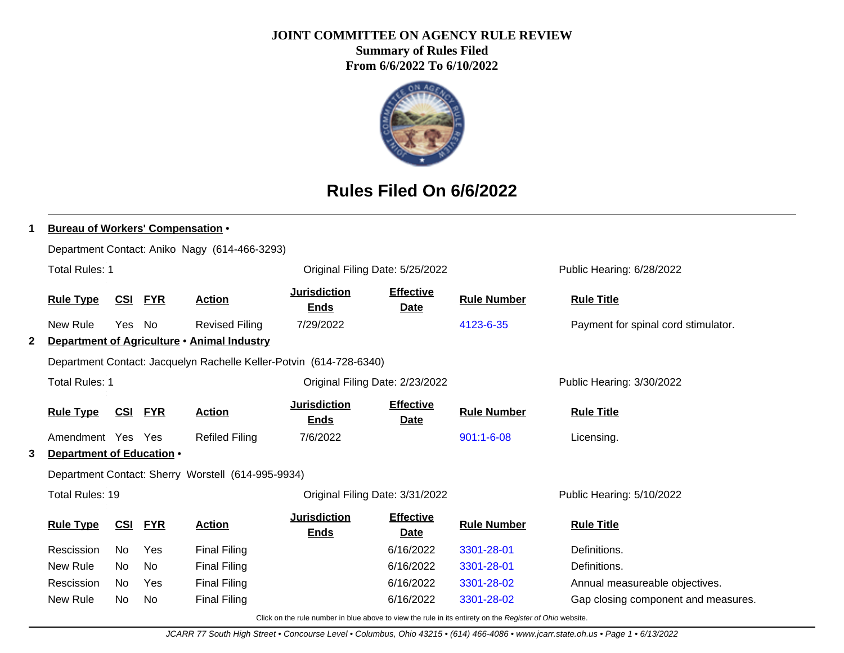#### **JOINT COMMITTEE ON AGENCY RULE REVIEW**

**Summary of Rules Filed From 6/6/2022 To 6/10/2022**



# **Rules Filed On 6/6/2022**

|   | <b>Bureau of Workers' Compensation •</b> |            |                |                                                                     |                                    |                                 |                    |                                     |  |  |
|---|------------------------------------------|------------|----------------|---------------------------------------------------------------------|------------------------------------|---------------------------------|--------------------|-------------------------------------|--|--|
|   |                                          |            |                | Department Contact: Aniko Nagy (614-466-3293)                       |                                    |                                 |                    |                                     |  |  |
|   | <b>Total Rules: 1</b>                    |            |                |                                                                     | Original Filing Date: 5/25/2022    |                                 |                    | Public Hearing: 6/28/2022           |  |  |
|   | <b>Rule Type</b>                         |            | <b>CSI FYR</b> | <b>Action</b>                                                       | <b>Jurisdiction</b><br><b>Ends</b> | <b>Effective</b><br><b>Date</b> | <b>Rule Number</b> | <b>Rule Title</b>                   |  |  |
|   | New Rule                                 | Yes        | - No           | <b>Revised Filing</b>                                               | 7/29/2022                          |                                 | 4123-6-35          | Payment for spinal cord stimulator. |  |  |
| 2 |                                          |            |                | Department of Agriculture . Animal Industry                         |                                    |                                 |                    |                                     |  |  |
|   |                                          |            |                | Department Contact: Jacquelyn Rachelle Keller-Potvin (614-728-6340) |                                    |                                 |                    |                                     |  |  |
|   | <b>Total Rules: 1</b>                    |            |                |                                                                     | Original Filing Date: 2/23/2022    |                                 |                    | Public Hearing: 3/30/2022           |  |  |
|   | <b>Rule Type</b>                         | <u>CSI</u> | <b>FYR</b>     | <b>Action</b>                                                       | <b>Jurisdiction</b><br><b>Ends</b> | <b>Effective</b><br><b>Date</b> | <b>Rule Number</b> | <b>Rule Title</b>                   |  |  |
|   | Amendment Yes Yes                        |            |                | <b>Refiled Filing</b>                                               | 7/6/2022                           |                                 | $901:1 - 6 - 08$   | Licensing.                          |  |  |
| 3 | Department of Education .                |            |                |                                                                     |                                    |                                 |                    |                                     |  |  |
|   |                                          |            |                | Department Contact: Sherry Worstell (614-995-9934)                  |                                    |                                 |                    |                                     |  |  |
|   | Total Rules: 19                          |            |                |                                                                     |                                    | Original Filing Date: 3/31/2022 |                    | Public Hearing: 5/10/2022           |  |  |
|   | <b>Rule Type</b>                         | CSI        | <b>FYR</b>     | <b>Action</b>                                                       | <b>Jurisdiction</b><br><b>Ends</b> | <b>Effective</b><br><b>Date</b> | <b>Rule Number</b> | <b>Rule Title</b>                   |  |  |
|   | Rescission                               | No         | Yes            | <b>Final Filing</b>                                                 |                                    | 6/16/2022                       | 3301-28-01         | Definitions.                        |  |  |
|   | New Rule                                 | No.        | <b>No</b>      | <b>Final Filing</b>                                                 |                                    | 6/16/2022                       | 3301-28-01         | Definitions.                        |  |  |
|   | Rescission                               | No.        | Yes            | <b>Final Filing</b>                                                 |                                    | 6/16/2022                       | 3301-28-02         | Annual measureable objectives.      |  |  |
|   | New Rule                                 | No.        | No.            | <b>Final Filing</b>                                                 |                                    | 6/16/2022                       | 3301-28-02         | Gap closing component and measures. |  |  |

Click on the rule number in blue above to view the rule in its entirety on the Register of Ohio website.

JCARR 77 South High Street • Concourse Level • Columbus, Ohio 43215 • (614) 466-4086 • www.jcarr.state.oh.us • Page 1 • 6/13/2022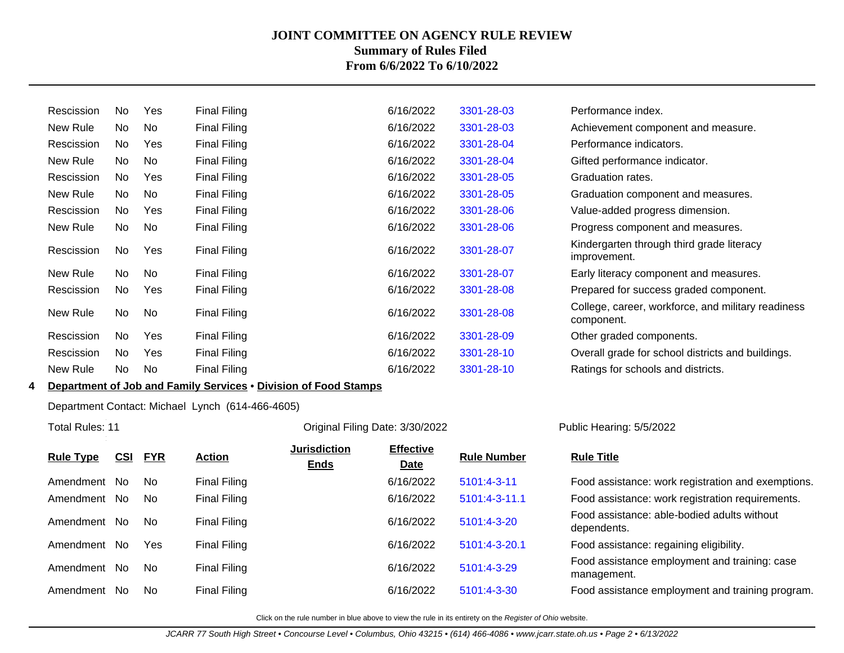| Rescission | No  | Yes | <b>Final Filing</b> | 6/16/2022 | 3301-28-03 | Performance index.                                               |
|------------|-----|-----|---------------------|-----------|------------|------------------------------------------------------------------|
| New Rule   | No  | No  | <b>Final Filing</b> | 6/16/2022 | 3301-28-03 | Achievement component and measure.                               |
| Rescission | No  | Yes | <b>Final Filing</b> | 6/16/2022 | 3301-28-04 | Performance indicators.                                          |
| New Rule   | No. | No  | <b>Final Filing</b> | 6/16/2022 | 3301-28-04 | Gifted performance indicator.                                    |
| Rescission | No  | Yes | <b>Final Filing</b> | 6/16/2022 | 3301-28-05 | Graduation rates.                                                |
| New Rule   | No  | No  | <b>Final Filing</b> | 6/16/2022 | 3301-28-05 | Graduation component and measures.                               |
| Rescission | No. | Yes | <b>Final Filing</b> | 6/16/2022 | 3301-28-06 | Value-added progress dimension.                                  |
| New Rule   | No  | No  | <b>Final Filing</b> | 6/16/2022 | 3301-28-06 | Progress component and measures.                                 |
| Rescission | No. | Yes | <b>Final Filing</b> | 6/16/2022 | 3301-28-07 | Kindergarten through third grade literacy<br>improvement.        |
| New Rule   | No  | No  | <b>Final Filing</b> | 6/16/2022 | 3301-28-07 | Early literacy component and measures.                           |
| Rescission | No  | Yes | <b>Final Filing</b> | 6/16/2022 | 3301-28-08 | Prepared for success graded component.                           |
| New Rule   | No  | No  | <b>Final Filing</b> | 6/16/2022 | 3301-28-08 | College, career, workforce, and military readiness<br>component. |
| Rescission | No. | Yes | <b>Final Filing</b> | 6/16/2022 | 3301-28-09 | Other graded components.                                         |
| Rescission | No  | Yes | <b>Final Filing</b> | 6/16/2022 | 3301-28-10 | Overall grade for school districts and buildings.                |
| New Rule   | No. | No  | <b>Final Filing</b> | 6/16/2022 | 3301-28-10 | Ratings for schools and districts.                               |
|            |     |     |                     |           |            |                                                                  |

## **4 Department of Job and Family Services** • **Division of Food Stamps**

#### Department Contact: Michael Lynch (614-466-4605)

Total Rules: 11

#### Original Filing Date: 3/30/2022 Public Hearing: 5/5/2022

| <b>Rule Type</b> | <b>CSI</b> | <b>FYR</b> | <b>Action</b> | <b>Jurisdiction</b><br><b>Ends</b> | <b>Effective</b><br><b>Date</b> | <b>Rule Number</b> | <b>Rule Title</b>                                            |
|------------------|------------|------------|---------------|------------------------------------|---------------------------------|--------------------|--------------------------------------------------------------|
| Amendment        | No.        | No.        | Final Filing  |                                    | 6/16/2022                       | $5101:4-3-11$      | Food assistance: work registration and exemptions.           |
| Amendment        | No.        | No.        | Final Filing  |                                    | 6/16/2022                       | 5101:4-3-11.1      | Food assistance: work registration requirements.             |
| Amendment        | No.        | No.        | Final Filing  |                                    | 6/16/2022                       | $5101:4-3-20$      | Food assistance: able-bodied adults without<br>dependents.   |
| Amendment        | No.        | Yes        | Final Filing  |                                    | 6/16/2022                       | 5101:4-3-20.1      | Food assistance: regaining eligibility.                      |
| Amendment        | No.        | No.        | Final Filing  |                                    | 6/16/2022                       | 5101:4-3-29        | Food assistance employment and training: case<br>management. |
| Amendment        | No.        | No.        | Final Filing  |                                    | 6/16/2022                       | 5101:4-3-30        | Food assistance employment and training program.             |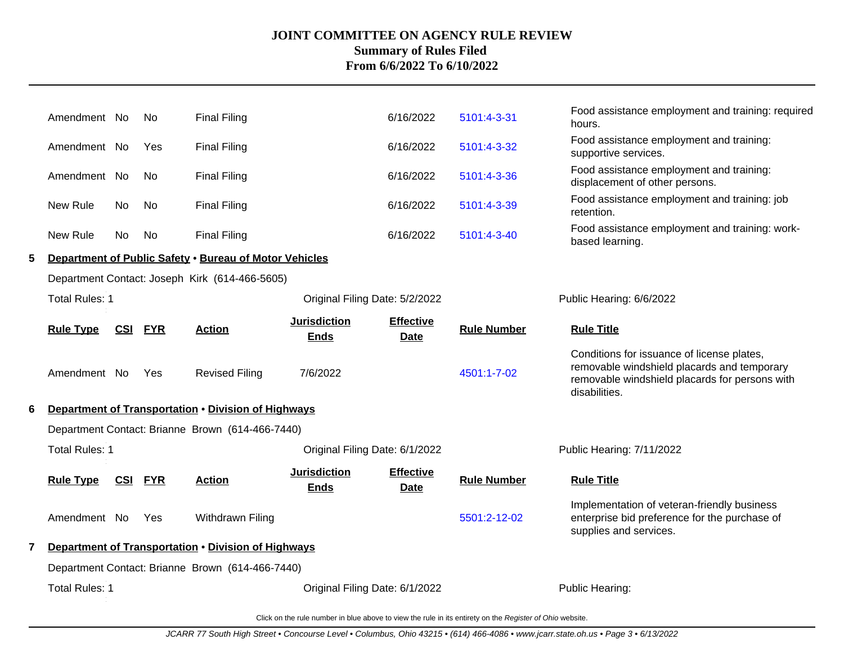|   | Amendment No          |                | No.        | <b>Final Filing</b>                                    |                                    | 6/16/2022                | 5101:4-3-31        | Food assistance employment and training: required<br>hours.                                                                                                  |
|---|-----------------------|----------------|------------|--------------------------------------------------------|------------------------------------|--------------------------|--------------------|--------------------------------------------------------------------------------------------------------------------------------------------------------------|
|   | Amendment No          |                | Yes        | <b>Final Filing</b>                                    |                                    | 6/16/2022                | 5101:4-3-32        | Food assistance employment and training:<br>supportive services.                                                                                             |
|   | Amendment No          |                | No.        | <b>Final Filing</b>                                    |                                    | 6/16/2022                | 5101:4-3-36        | Food assistance employment and training:<br>displacement of other persons.                                                                                   |
|   | New Rule              | No             | No.        | <b>Final Filing</b>                                    |                                    | 6/16/2022                | 5101:4-3-39        | Food assistance employment and training: job<br>retention.                                                                                                   |
|   | New Rule              | No             | No         | <b>Final Filing</b>                                    |                                    | 6/16/2022                | 5101:4-3-40        | Food assistance employment and training: work-<br>based learning.                                                                                            |
| 5 |                       |                |            | Department of Public Safety . Bureau of Motor Vehicles |                                    |                          |                    |                                                                                                                                                              |
|   |                       |                |            | Department Contact: Joseph Kirk (614-466-5605)         |                                    |                          |                    |                                                                                                                                                              |
|   | <b>Total Rules: 1</b> |                |            |                                                        | Original Filing Date: 5/2/2022     |                          |                    | Public Hearing: 6/6/2022                                                                                                                                     |
|   | <b>Rule Type</b>      | <b>CSI FYR</b> |            | <b>Action</b>                                          | <b>Jurisdiction</b><br><b>Ends</b> | <b>Effective</b><br>Date | <b>Rule Number</b> | <b>Rule Title</b>                                                                                                                                            |
|   | Amendment No          |                | Yes        | <b>Revised Filing</b>                                  | 7/6/2022                           |                          | 4501:1-7-02        | Conditions for issuance of license plates,<br>removable windshield placards and temporary<br>removable windshield placards for persons with<br>disabilities. |
| 6 |                       |                |            | Department of Transportation . Division of Highways    |                                    |                          |                    |                                                                                                                                                              |
|   |                       |                |            | Department Contact: Brianne Brown (614-466-7440)       |                                    |                          |                    |                                                                                                                                                              |
|   | Total Rules: 1        |                |            |                                                        | Original Filing Date: 6/1/2022     |                          |                    | Public Hearing: 7/11/2022                                                                                                                                    |
|   | <b>Rule Type</b>      | <u>CSI</u>     | <b>FYR</b> | <b>Action</b>                                          | <b>Jurisdiction</b><br><b>Ends</b> | <b>Effective</b><br>Date | <b>Rule Number</b> | <b>Rule Title</b>                                                                                                                                            |
|   | Amendment No          |                | Yes        | Withdrawn Filing                                       |                                    |                          | 5501:2-12-02       | Implementation of veteran-friendly business<br>enterprise bid preference for the purchase of<br>supplies and services.                                       |
|   |                       |                |            | Department of Transportation . Division of Highways    |                                    |                          |                    |                                                                                                                                                              |
|   |                       |                |            | Department Contact: Brianne Brown (614-466-7440)       |                                    |                          |                    |                                                                                                                                                              |
|   | <b>Total Rules: 1</b> |                |            |                                                        | Original Filing Date: 6/1/2022     |                          |                    | Public Hearing:                                                                                                                                              |
|   |                       |                |            |                                                        |                                    |                          |                    |                                                                                                                                                              |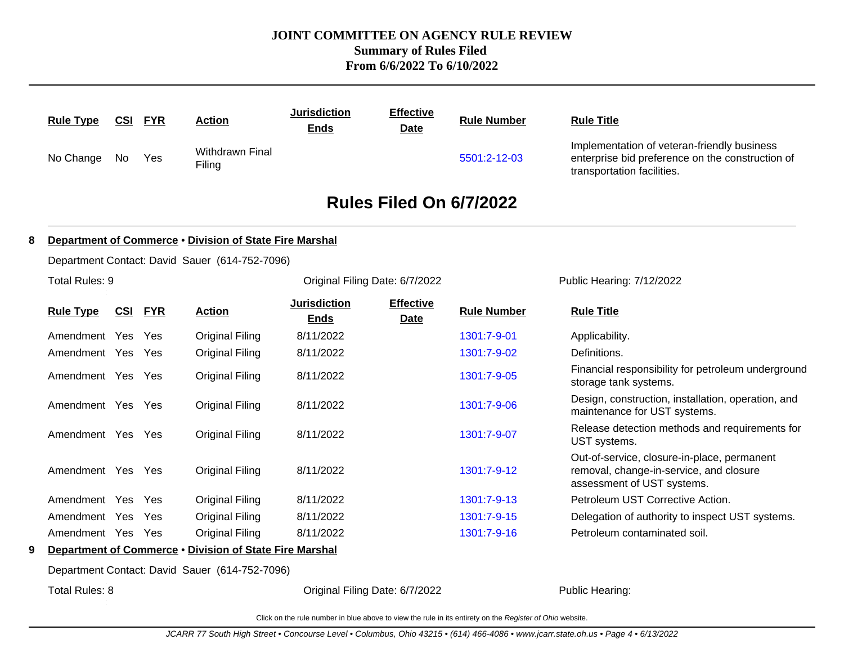|   | <b>Rule Type</b>  |     | <b>CSI FYR</b> | <b>Action</b>                                           | <b>Jurisdiction</b><br><b>Ends</b> | <b>Effective</b><br><b>Date</b> | <b>Rule Number</b> | <b>Rule Title</b>                                                                                                             |
|---|-------------------|-----|----------------|---------------------------------------------------------|------------------------------------|---------------------------------|--------------------|-------------------------------------------------------------------------------------------------------------------------------|
|   | No Change         | No  | Yes            | Withdrawn Final<br>Filing                               |                                    |                                 | 5501:2-12-03       | Implementation of veteran-friendly business<br>enterprise bid preference on the construction of<br>transportation facilities. |
|   |                   |     |                |                                                         |                                    | Rules Filed On 6/7/2022         |                    |                                                                                                                               |
| 8 |                   |     |                | Department of Commerce . Division of State Fire Marshal |                                    |                                 |                    |                                                                                                                               |
|   |                   |     |                | Department Contact: David Sauer (614-752-7096)          |                                    |                                 |                    |                                                                                                                               |
|   | Total Rules: 9    |     |                |                                                         |                                    | Original Filing Date: 6/7/2022  |                    | Public Hearing: 7/12/2022                                                                                                     |
|   | <b>Rule Type</b>  | CSI | <b>FYR</b>     | <b>Action</b>                                           | <b>Jurisdiction</b><br><b>Ends</b> | <b>Effective</b><br><b>Date</b> | <b>Rule Number</b> | <b>Rule Title</b>                                                                                                             |
|   | Amendment Yes     |     | Yes            | <b>Original Filing</b>                                  | 8/11/2022                          |                                 | 1301:7-9-01        | Applicability.                                                                                                                |
|   | Amendment Yes Yes |     |                | <b>Original Filing</b>                                  | 8/11/2022                          |                                 | 1301:7-9-02        | Definitions.                                                                                                                  |
|   | Amendment Yes Yes |     |                | <b>Original Filing</b>                                  | 8/11/2022                          |                                 | 1301:7-9-05        | Financial responsibility for petroleum underground<br>storage tank systems.                                                   |
|   | Amendment Yes Yes |     |                | <b>Original Filing</b>                                  | 8/11/2022                          |                                 | 1301:7-9-06        | Design, construction, installation, operation, and<br>maintenance for UST systems.                                            |
|   | Amendment Yes Yes |     |                | <b>Original Filing</b>                                  | 8/11/2022                          |                                 | 1301:7-9-07        | Release detection methods and requirements for<br>UST systems.                                                                |
|   | Amendment Yes Yes |     |                | <b>Original Filing</b>                                  | 8/11/2022                          |                                 | 1301:7-9-12        | Out-of-service, closure-in-place, permanent<br>removal, change-in-service, and closure<br>assessment of UST systems.          |
|   | Amendment Yes     |     | Yes            | <b>Original Filing</b>                                  | 8/11/2022                          |                                 | 1301:7-9-13        | Petroleum UST Corrective Action.                                                                                              |
|   | Amendment Yes     |     | Yes            | <b>Original Filing</b>                                  | 8/11/2022                          |                                 | 1301:7-9-15        | Delegation of authority to inspect UST systems.                                                                               |
|   | Amendment Yes     |     | Yes            | Original Filing                                         | 8/11/2022                          |                                 | 1301:7-9-16        | Petroleum contaminated soil.                                                                                                  |
| 9 |                   |     |                | Department of Commerce . Division of State Fire Marshal |                                    |                                 |                    |                                                                                                                               |
|   |                   |     |                | Department Contact: David Sauer (614-752-7096)          |                                    |                                 |                    |                                                                                                                               |
|   | Total Rules: 8    |     |                |                                                         |                                    | Original Filing Date: 6/7/2022  |                    | Public Hearing:                                                                                                               |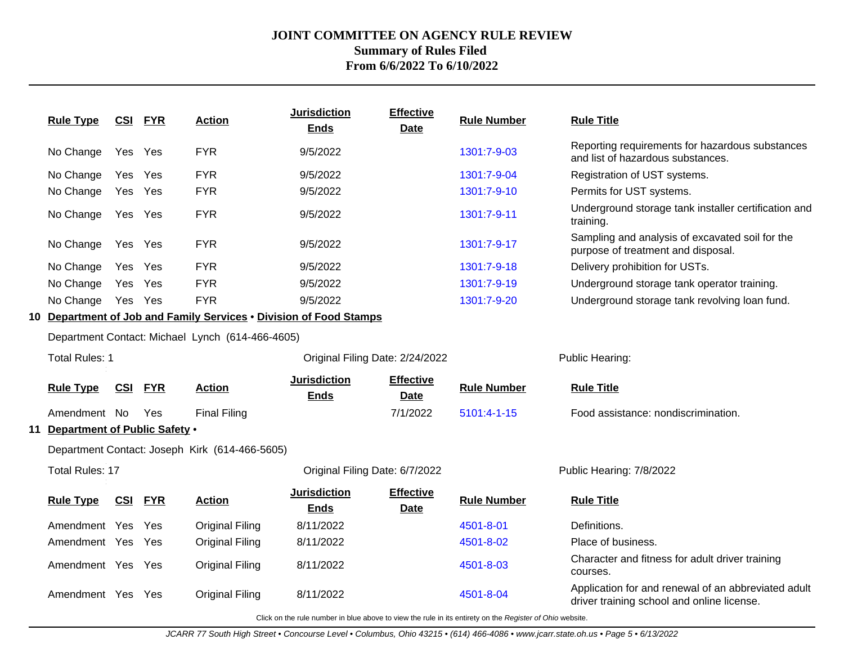| <b>Rule Type</b>                 | <b>CSI</b> | <b>FYR</b> | <b>Action</b>                                                      | <b>Jurisdiction</b><br><b>Ends</b> | <b>Effective</b><br><b>Date</b> | <b>Rule Number</b> | <b>Rule Title</b>                                                                                 |
|----------------------------------|------------|------------|--------------------------------------------------------------------|------------------------------------|---------------------------------|--------------------|---------------------------------------------------------------------------------------------------|
| No Change                        | Yes Yes    |            | <b>FYR</b>                                                         | 9/5/2022                           |                                 | 1301:7-9-03        | Reporting requirements for hazardous substances<br>and list of hazardous substances.              |
| No Change                        | Yes        | Yes        | <b>FYR</b>                                                         | 9/5/2022                           |                                 | 1301:7-9-04        | Registration of UST systems.                                                                      |
| No Change                        | Yes        | Yes        | <b>FYR</b>                                                         | 9/5/2022                           |                                 | 1301:7-9-10        | Permits for UST systems.                                                                          |
| No Change                        | Yes        | Yes        | <b>FYR</b>                                                         | 9/5/2022                           |                                 | 1301:7-9-11        | Underground storage tank installer certification and<br>training.                                 |
| No Change                        | Yes Yes    |            | <b>FYR</b>                                                         | 9/5/2022                           |                                 | 1301:7-9-17        | Sampling and analysis of excavated soil for the<br>purpose of treatment and disposal.             |
| No Change                        | Yes        | Yes        | <b>FYR</b>                                                         | 9/5/2022                           |                                 | 1301:7-9-18        | Delivery prohibition for USTs.                                                                    |
| No Change                        | Yes        | Yes        | <b>FYR</b>                                                         | 9/5/2022                           |                                 | 1301:7-9-19        | Underground storage tank operator training.                                                       |
| No Change                        | Yes Yes    |            | <b>FYR</b>                                                         | 9/5/2022                           |                                 | 1301:7-9-20        | Underground storage tank revolving loan fund.                                                     |
|                                  |            |            | 10 Department of Job and Family Services . Division of Food Stamps |                                    |                                 |                    |                                                                                                   |
|                                  |            |            | Department Contact: Michael Lynch (614-466-4605)                   |                                    |                                 |                    |                                                                                                   |
| <b>Total Rules: 1</b>            |            |            |                                                                    | Original Filing Date: 2/24/2022    |                                 |                    | Public Hearing:                                                                                   |
| <b>Rule Type</b>                 | CSI        | <b>FYR</b> | <b>Action</b>                                                      | <b>Jurisdiction</b><br><b>Ends</b> | <b>Effective</b><br><b>Date</b> | <b>Rule Number</b> | <b>Rule Title</b>                                                                                 |
| Amendment No                     |            | Yes        | <b>Final Filing</b>                                                |                                    | 7/1/2022                        | 5101:4-1-15        | Food assistance: nondiscrimination.                                                               |
| 11 Department of Public Safety . |            |            |                                                                    |                                    |                                 |                    |                                                                                                   |
|                                  |            |            | Department Contact: Joseph Kirk (614-466-5605)                     |                                    |                                 |                    |                                                                                                   |
| <b>Total Rules: 17</b>           |            |            |                                                                    | Original Filing Date: 6/7/2022     |                                 |                    | Public Hearing: 7/8/2022                                                                          |
| <b>Rule Type</b>                 | <u>CSI</u> | <b>FYR</b> | <b>Action</b>                                                      | <b>Jurisdiction</b><br><b>Ends</b> | <b>Effective</b><br><b>Date</b> | <b>Rule Number</b> | <b>Rule Title</b>                                                                                 |
| Amendment Yes                    |            | Yes        | <b>Original Filing</b>                                             | 8/11/2022                          |                                 | 4501-8-01          | Definitions.                                                                                      |
| Amendment Yes                    |            | Yes        | <b>Original Filing</b>                                             | 8/11/2022                          |                                 | 4501-8-02          | Place of business.                                                                                |
| Amendment Yes Yes                |            |            | <b>Original Filing</b>                                             | 8/11/2022                          |                                 | 4501-8-03          | Character and fitness for adult driver training<br>courses.                                       |
| Amendment Yes                    |            | Yes        | <b>Original Filing</b>                                             | 8/11/2022                          |                                 | 4501-8-04          | Application for and renewal of an abbreviated adult<br>driver training school and online license. |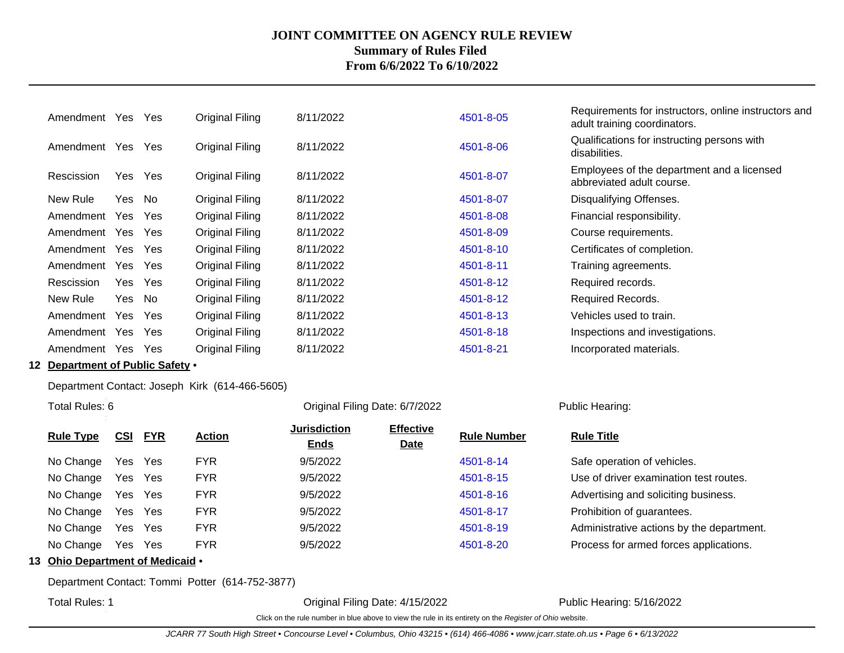| Amendment  | Yes    | <b>Yes</b> | Original Filing        | 8/11/2022 | 4501-8-05 | Requirements for instructors, online instructors and<br>adult training coordinators. |
|------------|--------|------------|------------------------|-----------|-----------|--------------------------------------------------------------------------------------|
| Amendment  | Yes    | <b>Yes</b> | Original Filing        | 8/11/2022 | 4501-8-06 | Qualifications for instructing persons with<br>disabilities.                         |
| Rescission | Yes    | Yes        | Original Filing        | 8/11/2022 | 4501-8-07 | Employees of the department and a licensed<br>abbreviated adult course.              |
| New Rule   | Yes    | No         | Original Filing        | 8/11/2022 | 4501-8-07 | Disqualifying Offenses.                                                              |
| Amendment  | Yes    | Yes        | Original Filing        | 8/11/2022 | 4501-8-08 | Financial responsibility.                                                            |
| Amendment  | Yes    | Yes        | Original Filing        | 8/11/2022 | 4501-8-09 | Course requirements.                                                                 |
| Amendment  | Yes    | Yes        | Original Filing        | 8/11/2022 | 4501-8-10 | Certificates of completion.                                                          |
| Amendment  | Yes    | Yes        | <b>Original Filing</b> | 8/11/2022 | 4501-8-11 | Training agreements.                                                                 |
| Rescission | Yes    | Yes        | <b>Original Filing</b> | 8/11/2022 | 4501-8-12 | Required records.                                                                    |
| New Rule   | Yes No |            | Original Filing        | 8/11/2022 | 4501-8-12 | Required Records.                                                                    |
| Amendment  | Yes    | <b>Yes</b> | Original Filing        | 8/11/2022 | 4501-8-13 | Vehicles used to train.                                                              |
| Amendment  | Yes    | <b>Yes</b> | Original Filing        | 8/11/2022 | 4501-8-18 | Inspections and investigations.                                                      |
| Amendment  | Yes.   | Yes        | Original Filing        | 8/11/2022 | 4501-8-21 | Incorporated materials.                                                              |

#### **12 Department of Public Safety** •

Department Contact: Joseph Kirk (614-466-5605)

Total Rules: 6

Original Filing Date: 6/7/2022 Public Hearing:

| <b>Rule Type</b> | CSI FYR | <b>Action</b> | <b>Jurisdiction</b><br><b>Ends</b> | <b>Effective</b><br><b>Date</b> | <b>Rule Number</b> | <b>Rule Title</b>                         |
|------------------|---------|---------------|------------------------------------|---------------------------------|--------------------|-------------------------------------------|
| No Change        | Yes Yes | <b>FYR</b>    | 9/5/2022                           |                                 | 4501-8-14          | Safe operation of vehicles.               |
| No Change        | Yes Yes | <b>FYR</b>    | 9/5/2022                           |                                 | 4501-8-15          | Use of driver examination test routes.    |
| No Change        | Yes Yes | <b>FYR</b>    | 9/5/2022                           |                                 | 4501-8-16          | Advertising and soliciting business.      |
| No Change        | Yes Yes | <b>FYR</b>    | 9/5/2022                           |                                 | 4501-8-17          | Prohibition of guarantees.                |
| No Change        | Yes Yes | <b>FYR</b>    | 9/5/2022                           |                                 | 4501-8-19          | Administrative actions by the department. |
| No Change        | Yes Yes | <b>FYR</b>    | 9/5/2022                           |                                 | 4501-8-20          | Process for armed forces applications.    |
|                  |         |               |                                    |                                 |                    |                                           |

#### **13 Ohio Department of Medicaid** •

Department Contact: Tommi Potter (614-752-3877)

Total Rules: 1

Original Filing Date: 4/15/2022 Public Hearing: 5/16/2022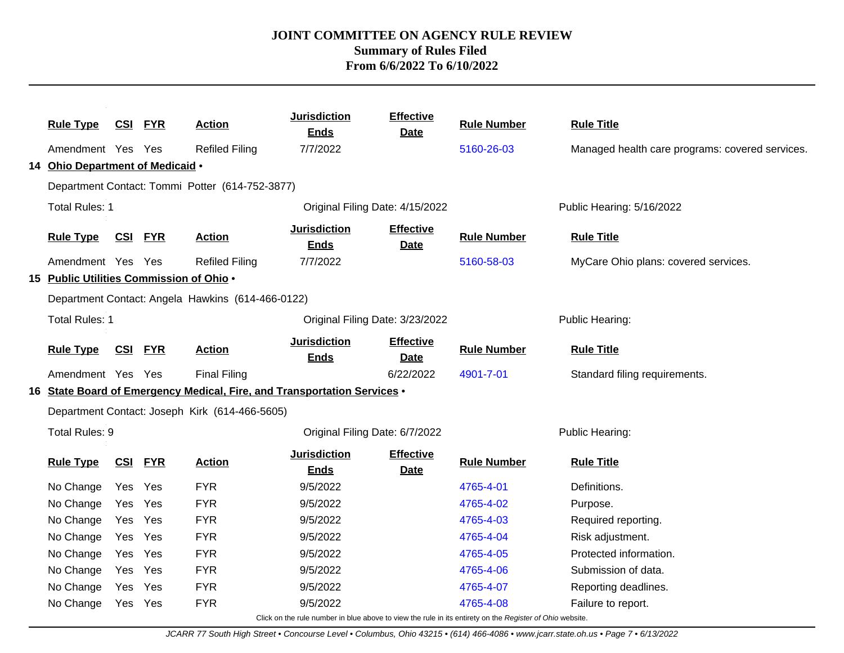|                |                                          |            |            |                                                   | <b>Jurisdiction</b>                                                      | <b>Effective</b>                |                                                                                                          |                                                 |  |
|----------------|------------------------------------------|------------|------------|---------------------------------------------------|--------------------------------------------------------------------------|---------------------------------|----------------------------------------------------------------------------------------------------------|-------------------------------------------------|--|
|                | <b>Rule Type</b>                         | CSI        | <b>FYR</b> | <b>Action</b>                                     | <b>Ends</b>                                                              | <b>Date</b>                     | <b>Rule Number</b>                                                                                       | <b>Rule Title</b>                               |  |
|                | Amendment Yes Yes                        |            |            | <b>Refiled Filing</b>                             | 7/7/2022                                                                 |                                 | 5160-26-03                                                                                               | Managed health care programs: covered services. |  |
|                | 14 Ohio Department of Medicaid .         |            |            |                                                   |                                                                          |                                 |                                                                                                          |                                                 |  |
|                |                                          |            |            | Department Contact: Tommi Potter (614-752-3877)   |                                                                          |                                 |                                                                                                          |                                                 |  |
| Total Rules: 1 |                                          |            |            |                                                   | Original Filing Date: 4/15/2022                                          |                                 |                                                                                                          | Public Hearing: 5/16/2022                       |  |
|                | <b>Rule Type</b>                         | <u>CSI</u> | <b>FYR</b> | <b>Action</b>                                     | <b>Jurisdiction</b><br><b>Ends</b>                                       | <b>Effective</b><br><b>Date</b> | <b>Rule Number</b>                                                                                       | <b>Rule Title</b>                               |  |
|                | Amendment Yes Yes                        |            |            | <b>Refiled Filing</b>                             | 7/7/2022                                                                 |                                 | 5160-58-03                                                                                               | MyCare Ohio plans: covered services.            |  |
|                | 15 Public Utilities Commission of Ohio . |            |            |                                                   |                                                                          |                                 |                                                                                                          |                                                 |  |
|                |                                          |            |            | Department Contact: Angela Hawkins (614-466-0122) |                                                                          |                                 |                                                                                                          |                                                 |  |
|                | <b>Total Rules: 1</b>                    |            |            |                                                   | Original Filing Date: 3/23/2022                                          |                                 |                                                                                                          | Public Hearing:                                 |  |
|                | <b>Rule Type</b>                         | <u>CSI</u> | <b>FYR</b> | <b>Action</b>                                     | <b>Jurisdiction</b><br><b>Ends</b>                                       | <b>Effective</b><br><b>Date</b> | <b>Rule Number</b>                                                                                       | <b>Rule Title</b>                               |  |
|                | Amendment Yes Yes                        |            |            | <b>Final Filing</b>                               |                                                                          | 6/22/2022                       | 4901-7-01                                                                                                | Standard filing requirements.                   |  |
|                |                                          |            |            |                                                   | 16 State Board of Emergency Medical, Fire, and Transportation Services . |                                 |                                                                                                          |                                                 |  |
|                |                                          |            |            | Department Contact: Joseph Kirk (614-466-5605)    |                                                                          |                                 |                                                                                                          |                                                 |  |
|                | Total Rules: 9                           |            |            |                                                   | Original Filing Date: 6/7/2022                                           |                                 |                                                                                                          | Public Hearing:                                 |  |
|                | <b>Rule Type</b>                         | CSI        | <b>FYR</b> | <b>Action</b>                                     | <b>Jurisdiction</b><br><b>Ends</b>                                       | <b>Effective</b><br><b>Date</b> | <b>Rule Number</b>                                                                                       | <b>Rule Title</b>                               |  |
|                | No Change                                | Yes Yes    |            | <b>FYR</b>                                        | 9/5/2022                                                                 |                                 | 4765-4-01                                                                                                | Definitions.                                    |  |
|                | No Change                                | Yes        | Yes        | <b>FYR</b>                                        | 9/5/2022                                                                 |                                 | 4765-4-02                                                                                                | Purpose.                                        |  |
|                | No Change                                | Yes Yes    |            | <b>FYR</b>                                        | 9/5/2022                                                                 |                                 | 4765-4-03                                                                                                | Required reporting.                             |  |
|                | No Change                                | Yes        | Yes        | <b>FYR</b>                                        | 9/5/2022                                                                 |                                 | 4765-4-04                                                                                                | Risk adjustment.                                |  |
|                | No Change                                | Yes        | Yes        | <b>FYR</b>                                        | 9/5/2022                                                                 |                                 | 4765-4-05                                                                                                | Protected information.                          |  |
|                | No Change                                | Yes        | Yes        | <b>FYR</b>                                        | 9/5/2022                                                                 |                                 | 4765-4-06                                                                                                | Submission of data.                             |  |
|                | No Change                                | Yes.       | Yes        | <b>FYR</b>                                        | 9/5/2022                                                                 |                                 | 4765-4-07                                                                                                | Reporting deadlines.                            |  |
|                | No Change                                | Yes        | Yes        | <b>FYR</b>                                        | 9/5/2022                                                                 |                                 | 4765-4-08                                                                                                | Failure to report.                              |  |
|                |                                          |            |            |                                                   |                                                                          |                                 | Click on the rule number in blue above to view the rule in its entirety on the Register of Ohio website. |                                                 |  |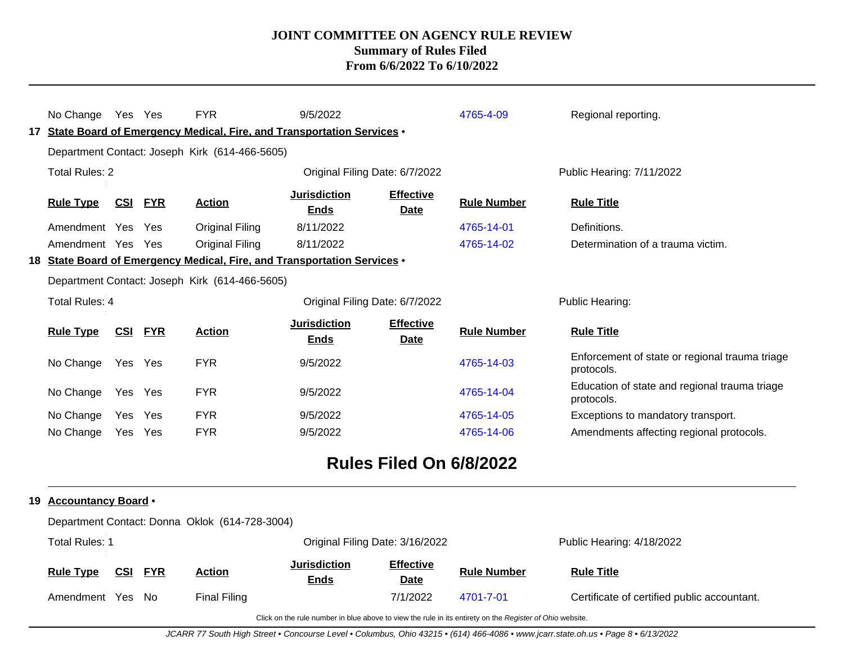| No Change                                                     | Yes Yes    |            | <b>FYR</b><br>17 State Board of Emergency Medical, Fire, and Transportation Services •<br>Department Contact: Joseph Kirk (614-466-5605) | 9/5/2022                           |                                                        | 4765-4-09          | Regional reporting.                                          |
|---------------------------------------------------------------|------------|------------|------------------------------------------------------------------------------------------------------------------------------------------|------------------------------------|--------------------------------------------------------|--------------------|--------------------------------------------------------------|
| <b>Total Rules: 2</b>                                         |            |            |                                                                                                                                          | Original Filing Date: 6/7/2022     |                                                        |                    | Public Hearing: 7/11/2022                                    |
| <u>CSI</u><br><b>Rule Type</b><br><b>FYR</b><br><b>Action</b> |            |            |                                                                                                                                          | <b>Jurisdiction</b><br><b>Ends</b> | <b>Effective</b><br><b>Date</b>                        | <b>Rule Number</b> | <b>Rule Title</b>                                            |
| Amendment Yes                                                 |            | Yes        | Original Filing                                                                                                                          | 8/11/2022                          |                                                        | 4765-14-01         | Definitions.                                                 |
| Amendment Yes                                                 |            | Yes        | <b>Original Filing</b>                                                                                                                   | 8/11/2022                          |                                                        | 4765-14-02         | Determination of a trauma victim.                            |
|                                                               |            |            | 18 State Board of Emergency Medical, Fire, and Transportation Services •                                                                 |                                    |                                                        |                    |                                                              |
|                                                               |            |            | Department Contact: Joseph Kirk (614-466-5605)                                                                                           |                                    |                                                        |                    |                                                              |
| <b>Total Rules: 4</b>                                         |            |            |                                                                                                                                          | Original Filing Date: 6/7/2022     |                                                        |                    | Public Hearing:                                              |
| <b>Rule Type</b>                                              | <u>CSI</u> | <b>FYR</b> | <b>Action</b>                                                                                                                            | <b>Jurisdiction</b><br><b>Ends</b> | <b>Effective</b><br>Date                               | <b>Rule Number</b> | <b>Rule Title</b>                                            |
| No Change                                                     | Yes        | Yes        | <b>FYR</b>                                                                                                                               | 9/5/2022                           |                                                        | 4765-14-03         | Enforcement of state or regional trauma triage<br>protocols. |
| No Change                                                     | Yes        | Yes        | <b>FYR</b>                                                                                                                               | 9/5/2022                           |                                                        | 4765-14-04         | Education of state and regional trauma triage<br>protocols.  |
| No Change                                                     | Yes        | Yes        | <b>FYR</b>                                                                                                                               | 9/5/2022                           |                                                        | 4765-14-05         | Exceptions to mandatory transport.                           |
| No Change                                                     | Yes        | <b>Yes</b> | <b>FYR</b>                                                                                                                               | 9/5/2022                           |                                                        | 4765-14-06         | Amendments affecting regional protocols.                     |
|                                                               |            |            |                                                                                                                                          | <b>PUBLIC</b>                      | $F''$ $\sim$ $\sim$ $\sim$ $\sim$ $\sim$ $\sim$ $\sim$ |                    |                                                              |

# **Rules Filed On 6/8/2022**

#### **19 Accountancy Board** •

|                       | Department Contact: Donna Oklok (614-728-3004) |            |               |                                    |                                 |                    |                                             |  |  |  |  |
|-----------------------|------------------------------------------------|------------|---------------|------------------------------------|---------------------------------|--------------------|---------------------------------------------|--|--|--|--|
| <b>Total Rules: 1</b> |                                                |            |               | Original Filing Date: 3/16/2022    |                                 |                    | Public Hearing: 4/18/2022                   |  |  |  |  |
| <b>Rule Type</b>      | <u>CSI</u>                                     | <u>FYR</u> | <b>Action</b> | <b>Jurisdiction</b><br><u>Ends</u> | <b>Effective</b><br><b>Date</b> | <b>Rule Number</b> | <b>Rule Title</b>                           |  |  |  |  |
| Amendment             | Yes No                                         |            | Final Filing  |                                    | 7/1/2022                        | 4701-7-01          | Certificate of certified public accountant. |  |  |  |  |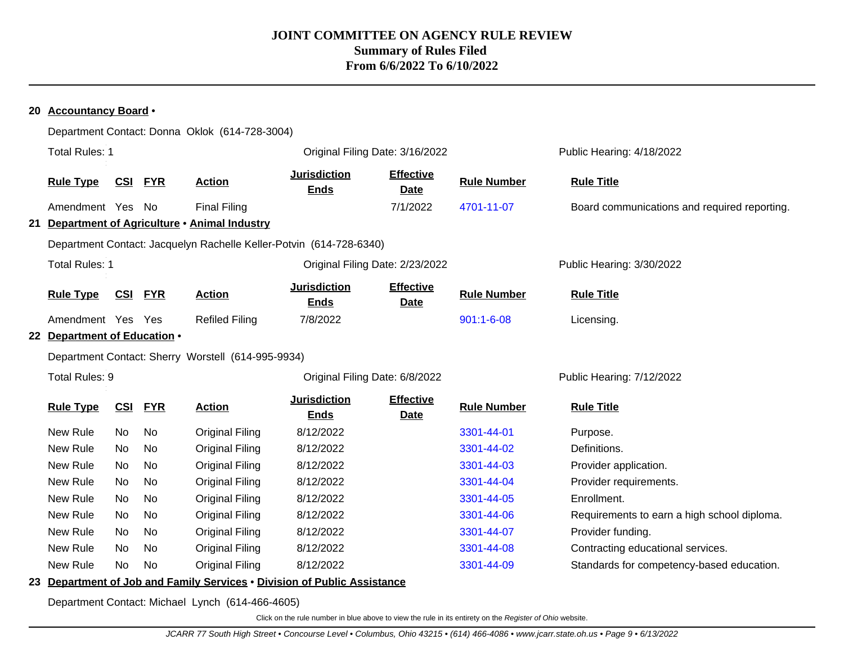#### **20 Accountancy Board** • Department Contact: Donna Oklok (614-728-3004) Total Rules: 1 **The Community Community Community** Original Filing Date: 3/16/2022 **Public Hearing: 4/18/2022** Public Hearing: 4/18/2022 **Rule Type CSI FYR Action Jurisdiction Ends Effective Date Rule Number Rule Title** Amendment Yes No Final Filing The Test of the Table 7/1/2022 [4701-11-07](http://www.registerofohio.state.oh.us/jsps/publicdisplayrules/processPublicDisplayRules.jsp?entered_rule_no=4701-11-07&doWhat=GETBYRULENUM&raID=0) Board communications and required reporting. **21 Department of Agriculture** • **Animal Industry** Department Contact: Jacquelyn Rachelle Keller-Potvin (614-728-6340) Total Rules: 1 Original Filing Date: 2/23/2022 Public Hearing: 3/30/2022 **Rule Type CSI FYR Action Jurisdiction Ends Effective Date Rule Number Rule Title** Amendment Yes Yes Refiled Filing 7/8/2022 1[901:1-6-08](http://www.registerofohio.state.oh.us/jsps/publicdisplayrules/processPublicDisplayRules.jsp?entered_rule_no=901:1-6-08&doWhat=GETBYRULENUM&raID=0) Licensing. **22 Department of Education** • Department Contact: Sherry Worstell (614-995-9934) Total Rules: 9 **Original Filing Date: 6/8/2022** Public Hearing: 7/12/2022 **Rule Type CSI FYR Action Jurisdiction Ends Effective Date Rule Number Rule Title** New Rule No No Original Filing 8/12/2022 [3301-44-01](http://www.registerofohio.state.oh.us/jsps/publicdisplayrules/processPublicDisplayRules.jsp?entered_rule_no=3301-44-01&doWhat=GETBYRULENUM&raID=0) Purpose. New Rule No No Original Filing 8/12/2022 [3301-44-02](http://www.registerofohio.state.oh.us/jsps/publicdisplayrules/processPublicDisplayRules.jsp?entered_rule_no=3301-44-02&doWhat=GETBYRULENUM&raID=0) Definitions. New Rule No No Original Filing 8/12/2022 [3301-44-03](http://www.registerofohio.state.oh.us/jsps/publicdisplayrules/processPublicDisplayRules.jsp?entered_rule_no=3301-44-03&doWhat=GETBYRULENUM&raID=0) Provider application. New Rule No No Original Filing 8/12/2022 [3301-44-04](http://www.registerofohio.state.oh.us/jsps/publicdisplayrules/processPublicDisplayRules.jsp?entered_rule_no=3301-44-04&doWhat=GETBYRULENUM&raID=0) Provider requirements. New Rule No No Original Filing 8/12/2022 [3301-44-05](http://www.registerofohio.state.oh.us/jsps/publicdisplayrules/processPublicDisplayRules.jsp?entered_rule_no=3301-44-05&doWhat=GETBYRULENUM&raID=0) Enrollment. New Rule No No Original Filing 8/12/2022 [3301-44-06](http://www.registerofohio.state.oh.us/jsps/publicdisplayrules/processPublicDisplayRules.jsp?entered_rule_no=3301-44-06&doWhat=GETBYRULENUM&raID=0) Requirements to earn a high school diploma. New Rule No No Original Filing 8/12/2022 [3301-44-07](http://www.registerofohio.state.oh.us/jsps/publicdisplayrules/processPublicDisplayRules.jsp?entered_rule_no=3301-44-07&doWhat=GETBYRULENUM&raID=0) Provider funding. New Rule No No Original Filing 8/12/2022 [3301-44-08](http://www.registerofohio.state.oh.us/jsps/publicdisplayrules/processPublicDisplayRules.jsp?entered_rule_no=3301-44-08&doWhat=GETBYRULENUM&raID=0) Contracting educational services. New Rule No No Original Filing 8/12/2022 [3301-44-09](http://www.registerofohio.state.oh.us/jsps/publicdisplayrules/processPublicDisplayRules.jsp?entered_rule_no=3301-44-09&doWhat=GETBYRULENUM&raID=0) Standards for competency-based education.

#### **23 Department of Job and Family Services** • **Division of Public Assistance**

Department Contact: Michael Lynch (614-466-4605)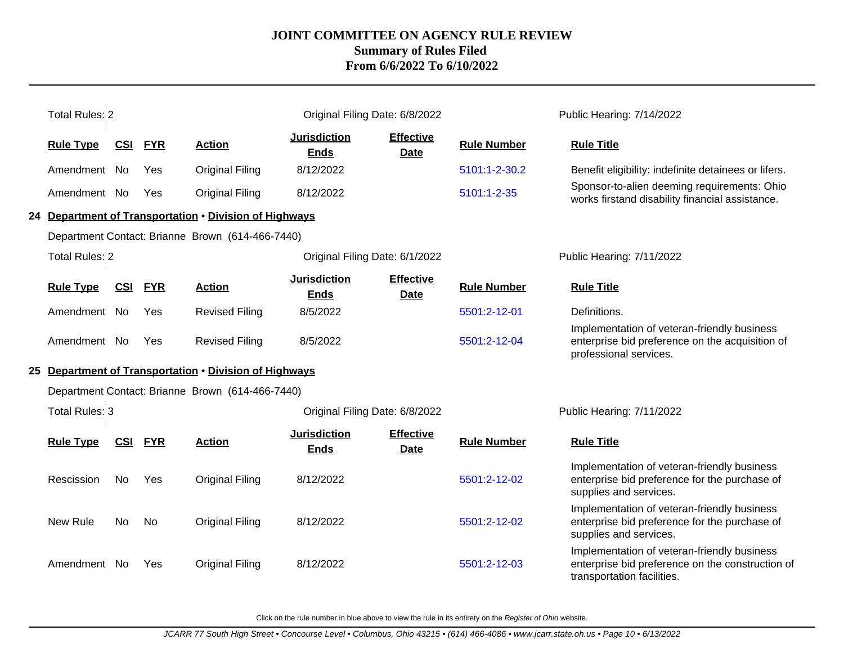| <b>Total Rules: 2</b> |                |            |                                                        | Original Filing Date: 6/8/2022     |                                 |                    | Public Hearing: 7/14/2022                                                                                                     |
|-----------------------|----------------|------------|--------------------------------------------------------|------------------------------------|---------------------------------|--------------------|-------------------------------------------------------------------------------------------------------------------------------|
| <b>Rule Type</b>      | CSI            | <b>FYR</b> | <b>Action</b>                                          | <b>Jurisdiction</b><br><b>Ends</b> | <b>Effective</b><br><b>Date</b> | <b>Rule Number</b> | <b>Rule Title</b>                                                                                                             |
| Amendment No          |                | Yes        | <b>Original Filing</b>                                 | 8/12/2022                          |                                 | 5101:1-2-30.2      | Benefit eligibility: indefinite detainees or lifers.                                                                          |
| Amendment No          |                | Yes        | <b>Original Filing</b>                                 | 8/12/2022                          |                                 | 5101:1-2-35        | Sponsor-to-alien deeming requirements: Ohio<br>works firstand disability financial assistance.                                |
|                       |                |            | 24 Department of Transportation . Division of Highways |                                    |                                 |                    |                                                                                                                               |
|                       |                |            | Department Contact: Brianne Brown (614-466-7440)       |                                    |                                 |                    |                                                                                                                               |
| <b>Total Rules: 2</b> |                |            |                                                        | Original Filing Date: 6/1/2022     |                                 |                    | Public Hearing: 7/11/2022                                                                                                     |
| <b>Rule Type</b>      | <b>CSI FYR</b> |            | <b>Action</b>                                          | <b>Jurisdiction</b><br><b>Ends</b> | <b>Effective</b><br><b>Date</b> | <b>Rule Number</b> | <b>Rule Title</b>                                                                                                             |
| Amendment No          |                | Yes        | <b>Revised Filing</b>                                  | 8/5/2022                           |                                 | 5501:2-12-01       | Definitions.                                                                                                                  |
| Amendment No          |                | <b>Yes</b> | <b>Revised Filing</b>                                  | 8/5/2022                           |                                 | 5501:2-12-04       | Implementation of veteran-friendly business<br>enterprise bid preference on the acquisition of<br>professional services.      |
|                       |                |            | 25 Department of Transportation . Division of Highways |                                    |                                 |                    |                                                                                                                               |
|                       |                |            | Department Contact: Brianne Brown (614-466-7440)       |                                    |                                 |                    |                                                                                                                               |
| <b>Total Rules: 3</b> |                |            |                                                        | Original Filing Date: 6/8/2022     |                                 |                    | Public Hearing: 7/11/2022                                                                                                     |
| <b>Rule Type</b>      | <b>CSI</b>     | <b>FYR</b> | <b>Action</b>                                          | <b>Jurisdiction</b><br><b>Ends</b> | <b>Effective</b><br>Date        | <b>Rule Number</b> | <b>Rule Title</b>                                                                                                             |
| Rescission            | <b>No</b>      | Yes        | <b>Original Filing</b>                                 | 8/12/2022                          |                                 | 5501:2-12-02       | Implementation of veteran-friendly business<br>enterprise bid preference for the purchase of<br>supplies and services.        |
| New Rule              | No             | No         | <b>Original Filing</b>                                 | 8/12/2022                          |                                 | 5501:2-12-02       | Implementation of veteran-friendly business<br>enterprise bid preference for the purchase of<br>supplies and services.        |
| Amendment No          |                | Yes        | <b>Original Filing</b>                                 | 8/12/2022                          |                                 | 5501:2-12-03       | Implementation of veteran-friendly business<br>enterprise bid preference on the construction of<br>transportation facilities. |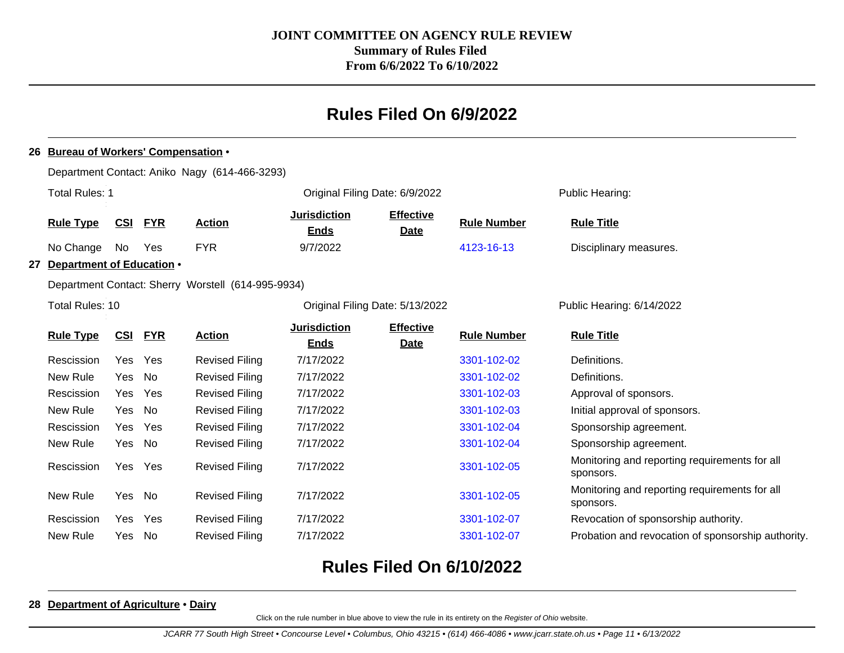# **Rules Filed On 6/9/2022**

#### **26 Bureau of Workers' Compensation** •

|    |                                                               |      |                                    | Department Contact: Aniko Nagy (614-466-3293)         |                                    |                                 |                    |                                                            |  |
|----|---------------------------------------------------------------|------|------------------------------------|-------------------------------------------------------|------------------------------------|---------------------------------|--------------------|------------------------------------------------------------|--|
|    | <b>Total Rules: 1</b>                                         |      |                                    |                                                       |                                    | Original Filing Date: 6/9/2022  |                    | Public Hearing:                                            |  |
|    | <u>CSI</u><br><b>FYR</b><br><b>Rule Type</b><br><b>Action</b> |      | <b>Jurisdiction</b><br><b>Ends</b> | <b>Effective</b><br><b>Rule Number</b><br><b>Date</b> |                                    | <b>Rule Title</b>               |                    |                                                            |  |
|    | No Change                                                     | No   | Yes                                | <b>FYR</b>                                            | 9/7/2022                           |                                 | 4123-16-13         | Disciplinary measures.                                     |  |
| 27 | Department of Education .                                     |      |                                    |                                                       |                                    |                                 |                    |                                                            |  |
|    |                                                               |      |                                    | Department Contact: Sherry Worstell (614-995-9934)    |                                    |                                 |                    |                                                            |  |
|    | Total Rules: 10                                               |      |                                    |                                                       |                                    | Original Filing Date: 5/13/2022 |                    | Public Hearing: 6/14/2022                                  |  |
|    | <b>Rule Type</b>                                              | CSI  | <b>FYR</b>                         | <b>Action</b>                                         | <b>Jurisdiction</b><br><b>Ends</b> | <b>Effective</b><br><b>Date</b> | <b>Rule Number</b> | <b>Rule Title</b>                                          |  |
|    | Rescission                                                    | Yes  | Yes                                | <b>Revised Filing</b>                                 | 7/17/2022                          |                                 | 3301-102-02        | Definitions.                                               |  |
|    | New Rule                                                      | Yes  | No                                 | <b>Revised Filing</b>                                 | 7/17/2022                          |                                 | 3301-102-02        | Definitions.                                               |  |
|    | Rescission                                                    | Yes. | Yes                                | <b>Revised Filing</b>                                 | 7/17/2022                          |                                 | 3301-102-03        | Approval of sponsors.                                      |  |
|    | New Rule                                                      | Yes  | No                                 | <b>Revised Filing</b>                                 | 7/17/2022                          |                                 | 3301-102-03        | Initial approval of sponsors.                              |  |
|    | Rescission                                                    | Yes  | Yes                                | <b>Revised Filing</b>                                 | 7/17/2022                          |                                 | 3301-102-04        | Sponsorship agreement.                                     |  |
|    | New Rule                                                      | Yes  | No                                 | <b>Revised Filing</b>                                 | 7/17/2022                          |                                 | 3301-102-04        | Sponsorship agreement.                                     |  |
|    | Rescission                                                    | Yes  | Yes                                | <b>Revised Filing</b>                                 | 7/17/2022                          |                                 | 3301-102-05        | Monitoring and reporting requirements for all<br>sponsors. |  |
|    | New Rule                                                      | Yes  | No                                 | <b>Revised Filing</b>                                 | 7/17/2022                          |                                 | 3301-102-05        | Monitoring and reporting requirements for all<br>sponsors. |  |
|    | Rescission                                                    | Yes  | Yes                                | <b>Revised Filing</b>                                 | 7/17/2022                          |                                 | 3301-102-07        | Revocation of sponsorship authority.                       |  |
|    | New Rule                                                      | Yes. | No                                 | <b>Revised Filing</b>                                 | 7/17/2022                          |                                 | 3301-102-07        | Probation and revocation of sponsorship authority.         |  |
|    |                                                               |      |                                    |                                                       |                                    |                                 |                    |                                                            |  |

# **Rules Filed On 6/10/2022**

#### **28 Department of Agriculture** • **Dairy**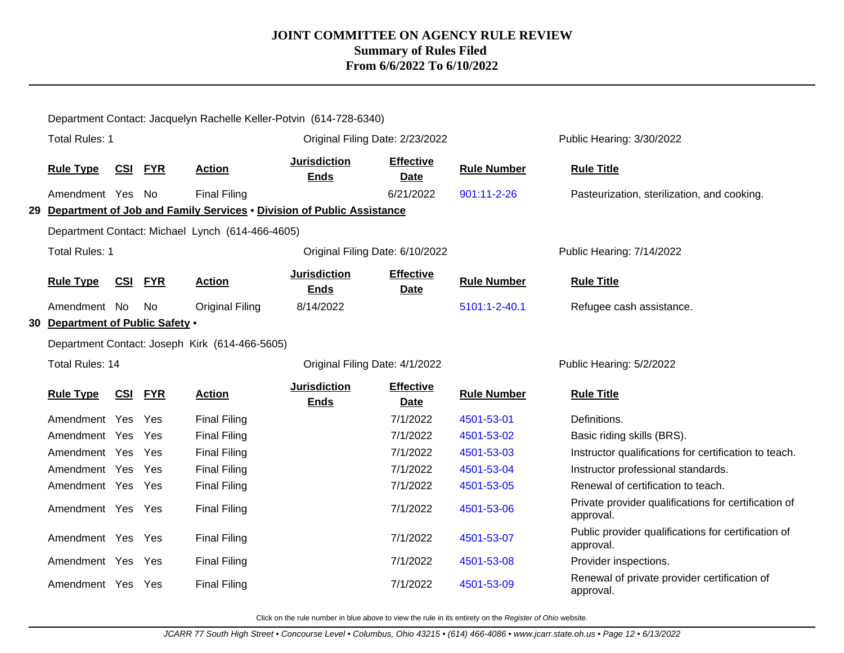|                                                                               | Department Contact: Jacquelyn Rachelle Keller-Potvin (614-728-6340) |            |            |                                                  |                                    |                                 |                    |                                                                   |  |  |
|-------------------------------------------------------------------------------|---------------------------------------------------------------------|------------|------------|--------------------------------------------------|------------------------------------|---------------------------------|--------------------|-------------------------------------------------------------------|--|--|
|                                                                               | <b>Total Rules: 1</b>                                               |            |            |                                                  | Original Filing Date: 2/23/2022    |                                 |                    | Public Hearing: 3/30/2022                                         |  |  |
|                                                                               | <b>Rule Type</b>                                                    | <u>CSI</u> | <b>FYR</b> | <b>Action</b>                                    | <b>Jurisdiction</b><br><b>Ends</b> | <b>Effective</b><br><b>Date</b> | <b>Rule Number</b> | <b>Rule Title</b>                                                 |  |  |
|                                                                               | Amendment Yes No                                                    |            |            | <b>Final Filing</b>                              |                                    | 6/21/2022                       | 901:11-2-26        | Pasteurization, sterilization, and cooking.                       |  |  |
| Department of Job and Family Services . Division of Public Assistance<br>29 - |                                                                     |            |            |                                                  |                                    |                                 |                    |                                                                   |  |  |
|                                                                               |                                                                     |            |            | Department Contact: Michael Lynch (614-466-4605) |                                    |                                 |                    |                                                                   |  |  |
|                                                                               | <b>Total Rules: 1</b>                                               |            |            |                                                  | Original Filing Date: 6/10/2022    |                                 |                    | Public Hearing: 7/14/2022                                         |  |  |
|                                                                               | <b>Rule Type</b>                                                    | <b>CSI</b> | <b>FYR</b> | <b>Action</b>                                    | <b>Jurisdiction</b><br><b>Ends</b> | <b>Effective</b><br><b>Date</b> | <b>Rule Number</b> | <b>Rule Title</b>                                                 |  |  |
|                                                                               | Amendment No                                                        |            | No         | <b>Original Filing</b>                           | 8/14/2022                          |                                 | 5101:1-2-40.1      | Refugee cash assistance.                                          |  |  |
| 30                                                                            | Department of Public Safety .                                       |            |            |                                                  |                                    |                                 |                    |                                                                   |  |  |
|                                                                               | Department Contact: Joseph Kirk (614-466-5605)                      |            |            |                                                  |                                    |                                 |                    |                                                                   |  |  |
|                                                                               |                                                                     |            |            |                                                  |                                    |                                 |                    |                                                                   |  |  |
|                                                                               | Total Rules: 14                                                     |            |            |                                                  | Original Filing Date: 4/1/2022     |                                 |                    | Public Hearing: 5/2/2022                                          |  |  |
|                                                                               | <b>Rule Type</b>                                                    | <u>CSI</u> | <b>FYR</b> | <b>Action</b>                                    | <b>Jurisdiction</b><br><b>Ends</b> | <b>Effective</b><br><b>Date</b> | <b>Rule Number</b> | <b>Rule Title</b>                                                 |  |  |
|                                                                               | Amendment Yes                                                       |            | Yes        | <b>Final Filing</b>                              |                                    | 7/1/2022                        | 4501-53-01         | Definitions.                                                      |  |  |
|                                                                               | Amendment Yes Yes                                                   |            |            | <b>Final Filing</b>                              |                                    | 7/1/2022                        | 4501-53-02         | Basic riding skills (BRS).                                        |  |  |
|                                                                               | Amendment Yes Yes                                                   |            |            | <b>Final Filing</b>                              |                                    | 7/1/2022                        | 4501-53-03         | Instructor qualifications for certification to teach.             |  |  |
|                                                                               | Amendment Yes Yes                                                   |            |            | <b>Final Filing</b>                              |                                    | 7/1/2022                        | 4501-53-04         | Instructor professional standards.                                |  |  |
|                                                                               | Amendment Yes Yes                                                   |            |            | <b>Final Filing</b>                              |                                    | 7/1/2022                        | 4501-53-05         | Renewal of certification to teach.                                |  |  |
|                                                                               | Amendment Yes Yes                                                   |            |            | <b>Final Filing</b>                              |                                    | 7/1/2022                        | 4501-53-06         | Private provider qualifications for certification of<br>approval. |  |  |
|                                                                               | Amendment Yes Yes                                                   |            |            | <b>Final Filing</b>                              |                                    | 7/1/2022                        | 4501-53-07         | Public provider qualifications for certification of<br>approval.  |  |  |
|                                                                               | Amendment Yes Yes                                                   |            |            | <b>Final Filing</b>                              |                                    | 7/1/2022                        | 4501-53-08         | Provider inspections.                                             |  |  |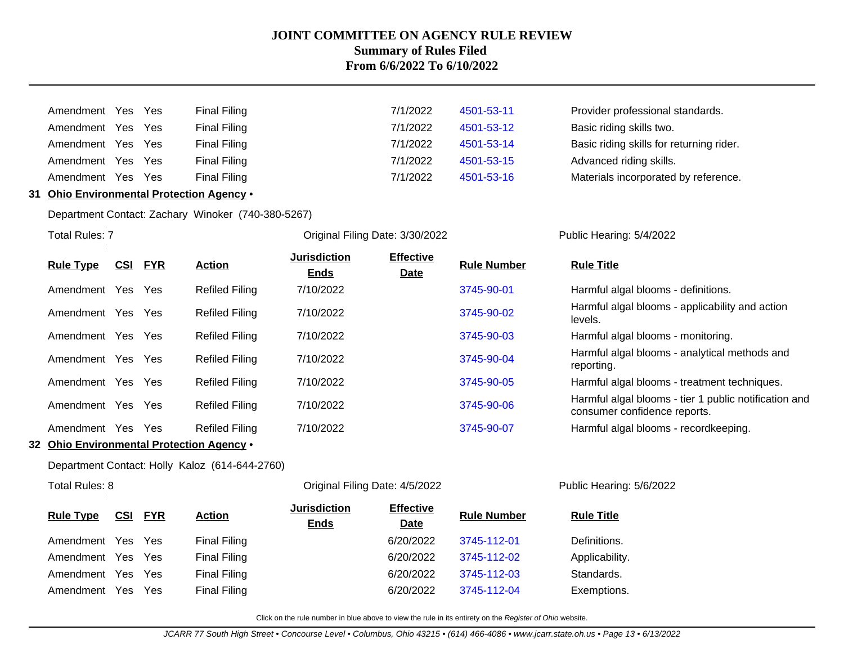| Amendment Yes Yes |  | <b>Final Filing</b> |
|-------------------|--|---------------------|
| Amendment Yes Yes |  | <b>Final Filing</b> |
| Amendment Yes Yes |  | <b>Final Filing</b> |
| Amendment Yes Yes |  | <b>Final Filing</b> |
| Amendment Yes Yes |  | <b>Final Filing</b> |
|                   |  |                     |

| Amendment Yes Yes |     | Final Filing        | 7/1/2022 | 4501-53-11 | Provider professional standards.         |
|-------------------|-----|---------------------|----------|------------|------------------------------------------|
| Amendment Yes Yes |     | Final Filing        | 7/1/2022 | 4501-53-12 | Basic riding skills two.                 |
| Amendment Yes Yes |     | Final Filing        | 7/1/2022 | 4501-53-14 | Basic riding skills for returning rider. |
| Amendment Yes     | Yes | Final Filing        | 7/1/2022 | 4501-53-15 | Advanced riding skills.                  |
| Amendment Yes     | Yes | <b>Final Filing</b> | 7/1/2022 | 4501-53-16 | Materials incorporated by reference.     |

#### **31 Ohio Environmental Protection Agency** •

Department Contact: Zachary Winoker (740-380-5267)

**Total Rules: 7** 

Original Filing Date: 3/30/2022 Public Hearing: 5/4/2022

| <b>Rule Type</b> | <u>CSI</u> | <b>FYR</b> | <b>Action</b>         | <b>Jurisdiction</b><br><b>Ends</b> | <b>Effective</b><br><b>Date</b> | <b>Rule Number</b> | <b>Rule Title</b>                                                                     |
|------------------|------------|------------|-----------------------|------------------------------------|---------------------------------|--------------------|---------------------------------------------------------------------------------------|
| Amendment        | Yes Yes    |            | <b>Refiled Filing</b> | 7/10/2022                          |                                 | 3745-90-01         | Harmful algal blooms - definitions.                                                   |
| Amendment        | Yes        | <b>Yes</b> | <b>Refiled Filing</b> | 7/10/2022                          |                                 | 3745-90-02         | Harmful algal blooms - applicability and action<br>levels.                            |
| Amendment        | Yes Yes    |            | <b>Refiled Filing</b> | 7/10/2022                          |                                 | 3745-90-03         | Harmful algal blooms - monitoring.                                                    |
| Amendment        | Yes Yes    |            | <b>Refiled Filing</b> | 7/10/2022                          |                                 | 3745-90-04         | Harmful algal blooms - analytical methods and<br>reporting.                           |
| Amendment        | Yes        | <b>Yes</b> | <b>Refiled Filing</b> | 7/10/2022                          |                                 | 3745-90-05         | Harmful algal blooms - treatment techniques.                                          |
| Amendment        | Yes Yes    |            | <b>Refiled Filing</b> | 7/10/2022                          |                                 | 3745-90-06         | Harmful algal blooms - tier 1 public notification and<br>consumer confidence reports. |
| Amendment        | Yes        | <b>Yes</b> | <b>Refiled Filing</b> | 7/10/2022                          |                                 | 3745-90-07         | Harmful algal blooms - recordkeeping.                                                 |

**32 Ohio Environmental Protection Agency** •

Department Contact: Holly Kaloz (614-644-2760)

Total Rules: 8 Original Filing Date: 4/5/2022 Public Hearing: 5/6/2022

| <b>Rule Type</b>  |     | CSI FYR    | <b>Action</b>       | <b>Jurisdiction</b><br><b>Ends</b> | <b>Effective</b><br><b>Date</b> | <b>Rule Number</b> | <b>Rule Title</b> |
|-------------------|-----|------------|---------------------|------------------------------------|---------------------------------|--------------------|-------------------|
| Amendment Yes Yes |     |            | <b>Final Filing</b> |                                    | 6/20/2022                       | 3745-112-01        | Definitions.      |
| Amendment Yes Yes |     |            | <b>Final Filing</b> |                                    | 6/20/2022                       | 3745-112-02        | Applicability.    |
| Amendment Yes Yes |     |            | <b>Final Filing</b> |                                    | 6/20/2022                       | 3745-112-03        | Standards.        |
| Amendment         | Yes | <b>Yes</b> | <b>Final Filing</b> |                                    | 6/20/2022                       | 3745-112-04        | Exemptions.       |